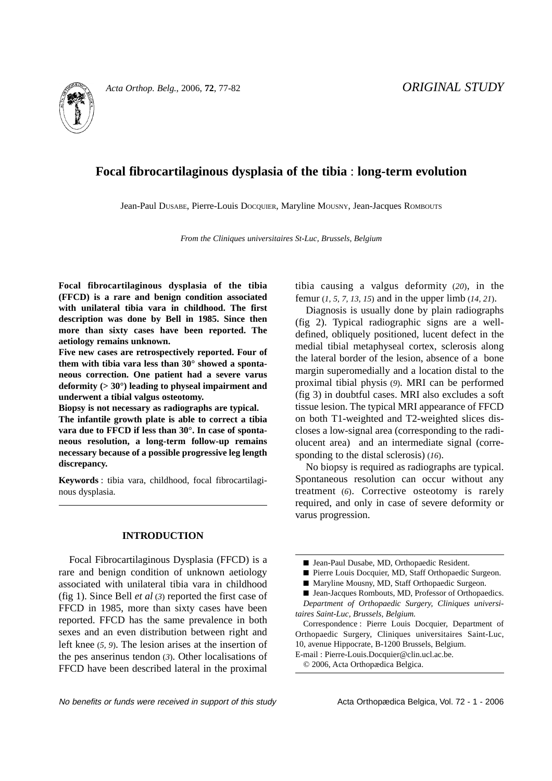

# **Focal fibrocartilaginous dysplasia of the tibia** : **long-term evolution**

Jean-Paul DUSABE, Pierre-Louis DOCQUIER, Maryline MOUSNY, Jean-Jacques ROMBOUTS

*From the Cliniques universitaires St-Luc, Brussels, Belgium*

**Focal fibrocartilaginous dysplasia of the tibia (FFCD) is a rare and benign condition associated with unilateral tibia vara in childhood. The first description was done by Bell in 1985. Since then more than sixty cases have been reported. The aetiology remains unknown.**

**Five new cases are retrospectively reported. Four of them with tibia vara less than 30° showed a spontaneous correction. One patient had a severe varus deformity (> 30°) leading to physeal impairment and underwent a tibial valgus osteotomy.** 

**Biopsy is not necessary as radiographs are typical. The infantile growth plate is able to correct a tibia vara due to FFCD if less than 30°. In case of spontaneous resolution, a long-term follow-up remains necessary because of a possible progressive leg length discrepancy.**

**Keywords** : tibia vara, childhood, focal fibrocartilaginous dysplasia.

### **INTRODUCTION**

Focal Fibrocartilaginous Dysplasia (FFCD) is a rare and benign condition of unknown aetiology associated with unilateral tibia vara in childhood (fig 1). Since Bell *et al* (*3*) reported the first case of FFCD in 1985, more than sixty cases have been reported. FFCD has the same prevalence in both sexes and an even distribution between right and left knee (*5, 9*). The lesion arises at the insertion of the pes anserinus tendon (*3*). Other localisations of FFCD have been described lateral in the proximal tibia causing a valgus deformity (*20*), in the femur (*1, 5, 7, 13, 15*) and in the upper limb (*14, 21*).

Diagnosis is usually done by plain radiographs (fig 2). Typical radiographic signs are a welldefined, obliquely positioned, lucent defect in the medial tibial metaphyseal cortex, sclerosis along the lateral border of the lesion, absence of a bone margin superomedially and a location distal to the proximal tibial physis (*9*). MRI can be performed (fig 3) in doubtful cases. MRI also excludes a soft tissue lesion. The typical MRI appearance of FFCD on both T1-weighted and T2-weighted slices discloses a low-signal area (corresponding to the radiolucent area) and an intermediate signal (corresponding to the distal sclerosis) (*16*).

No biopsy is required as radiographs are typical. Spontaneous resolution can occur without any treatment (*6*). Corrective osteotomy is rarely required, and only in case of severe deformity or varus progression.

- Pierre Louis Docquier, MD, Staff Orthopaedic Surgeon.
- Maryline Mousny, MD, Staff Orthopaedic Surgeon.
- Jean-Jacques Rombouts, MD, Professor of Orthopaedics.

E-mail : Pierre-Louis.Docquier@clin.ucl.ac.be.

© 2006, Acta Orthopædica Belgica.

No benefits or funds were received in support of this study example Acta Orthopædica Belgica, Vol. 72 - 1 - 2006

<sup>■</sup> Jean-Paul Dusabe, MD, Orthopaedic Resident.

*Department of Orthopaedic Surgery, Cliniques universitaires Saint-Luc, Brussels, Belgium.*

Correspondence : Pierre Louis Docquier, Department of Orthopaedic Surgery, Cliniques universitaires Saint-Luc, 10, avenue Hippocrate, B-1200 Brussels, Belgium.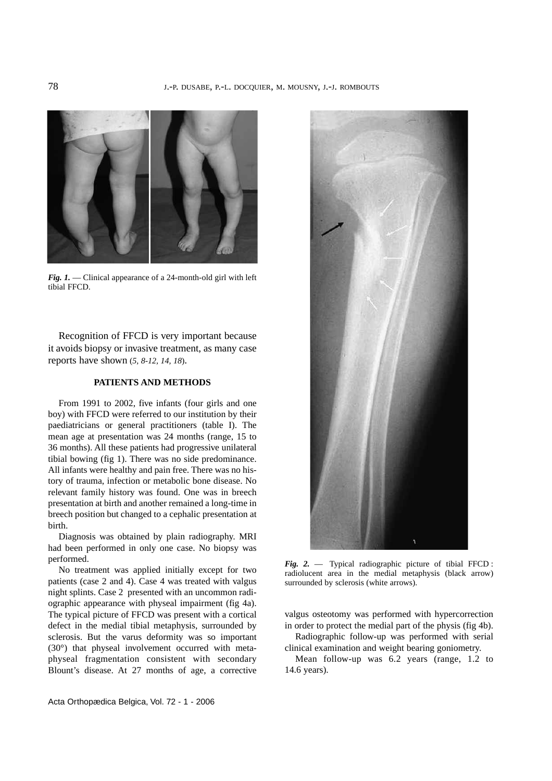

*Fig. 1.* — Clinical appearance of a 24-month-old girl with left tibial FFCD.

Recognition of FFCD is very important because it avoids biopsy or invasive treatment, as many case reports have shown (*5, 8-12, 14, 18*).

### **PATIENTS AND METHODS**

From 1991 to 2002, five infants (four girls and one boy) with FFCD were referred to our institution by their paediatricians or general practitioners (table I). The mean age at presentation was 24 months (range, 15 to 36 months). All these patients had progressive unilateral tibial bowing (fig 1). There was no side predominance. All infants were healthy and pain free. There was no history of trauma, infection or metabolic bone disease. No relevant family history was found. One was in breech presentation at birth and another remained a long-time in breech position but changed to a cephalic presentation at birth.

Diagnosis was obtained by plain radiography. MRI had been performed in only one case. No biopsy was performed.

No treatment was applied initially except for two patients (case 2 and 4). Case 4 was treated with valgus night splints. Case 2 presented with an uncommon radiographic appearance with physeal impairment (fig 4a). The typical picture of FFCD was present with a cortical defect in the medial tibial metaphysis, surrounded by sclerosis. But the varus deformity was so important (30°) that physeal involvement occurred with metaphyseal fragmentation consistent with secondary Blount's disease. At 27 months of age, a corrective



*Fig. 2.* — Typical radiographic picture of tibial FFCD : radiolucent area in the medial metaphysis (black arrow) surrounded by sclerosis (white arrows).

valgus osteotomy was performed with hypercorrection in order to protect the medial part of the physis (fig 4b).

Radiographic follow-up was performed with serial clinical examination and weight bearing goniometry.

Mean follow-up was 6.2 years (range, 1.2 to 14.6 years).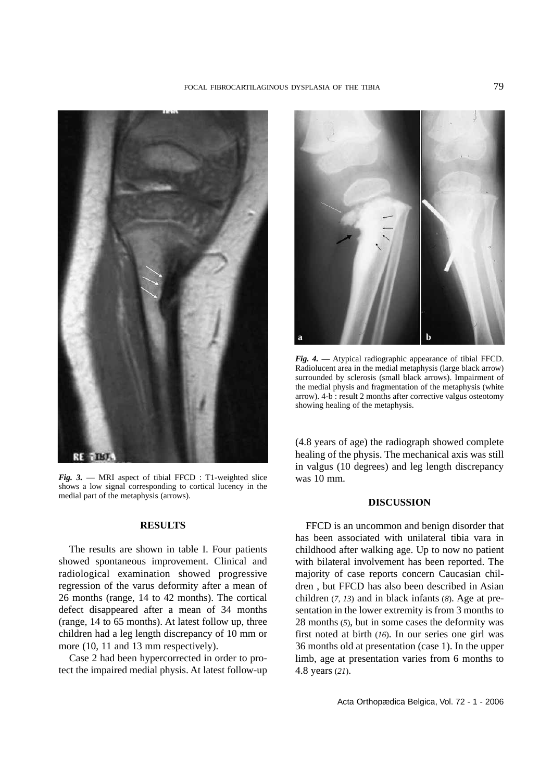

*Fig. 3.* — MRI aspect of tibial FFCD : T1-weighted slice shows a low signal corresponding to cortical lucency in the medial part of the metaphysis (arrows).

## **RESULTS**

The results are shown in table I. Four patients showed spontaneous improvement. Clinical and radiological examination showed progressive regression of the varus deformity after a mean of 26 months (range, 14 to 42 months). The cortical defect disappeared after a mean of 34 months (range, 14 to 65 months). At latest follow up, three children had a leg length discrepancy of 10 mm or more (10, 11 and 13 mm respectively).

Case 2 had been hypercorrected in order to protect the impaired medial physis. At latest follow-up



*Fig. 4.* — Atypical radiographic appearance of tibial FFCD. Radiolucent area in the medial metaphysis (large black arrow) surrounded by sclerosis (small black arrows). Impairment of the medial physis and fragmentation of the metaphysis (white arrow). 4-b : result 2 months after corrective valgus osteotomy showing healing of the metaphysis.

(4.8 years of age) the radiograph showed complete healing of the physis. The mechanical axis was still in valgus (10 degrees) and leg length discrepancy was 10 mm.

### **DISCUSSION**

FFCD is an uncommon and benign disorder that has been associated with unilateral tibia vara in childhood after walking age. Up to now no patient with bilateral involvement has been reported. The majority of case reports concern Caucasian children , but FFCD has also been described in Asian children (*7, 13*) and in black infants (*8*). Age at presentation in the lower extremity is from 3 months to 28 months (*5*), but in some cases the deformity was first noted at birth (*16*). In our series one girl was 36 months old at presentation (case 1). In the upper limb, age at presentation varies from 6 months to 4.8 years (*21*).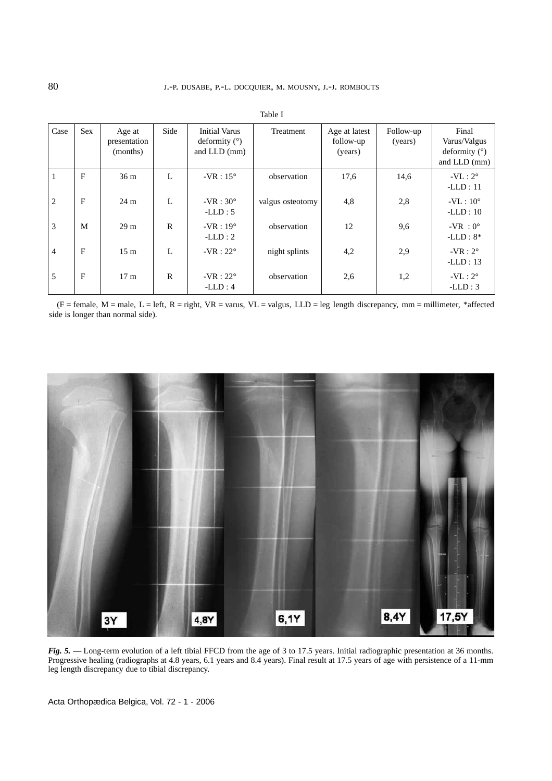| Case           | <b>Sex</b>   | Age at<br>presentation<br>(months) | Side         | <b>Initial Varus</b><br>deformity $(°)$<br>and $LLD$ (mm) | Treatment        | Age at latest<br>follow-up<br>(years) | Follow-up<br>(years) | Final<br>Varus/Valgus<br>deformity $(°)$<br>and LLD (mm) |
|----------------|--------------|------------------------------------|--------------|-----------------------------------------------------------|------------------|---------------------------------------|----------------------|----------------------------------------------------------|
|                | F            | 36 <sub>m</sub>                    | L            | $-VR:15^{\circ}$                                          | observation      | 17,6                                  | 14,6                 | $-VL: 2^{\circ}$<br>$-LLD:11$                            |
| 2              | $\mathbf{F}$ | $24 \text{ m}$                     | L            | $-VR:30^{\circ}$<br>$-LLD: 5$                             | valgus osteotomy | 4,8                                   | 2,8                  | $-VL:10^{\circ}$<br>$-LLD:10$                            |
| 3              | M            | 29 <sub>m</sub>                    | $\mathbb{R}$ | $-VR:19^\circ$<br>$-LLD:2$                                | observation      | 12                                    | 9,6                  | $-VR : 0^{\circ}$<br>$-LLD: 8*$                          |
| $\overline{4}$ | F            | 15 <sub>m</sub>                    | L            | $-VR:22^{\circ}$                                          | night splints    | 4,2                                   | 2,9                  | $-VR:2^{\circ}$<br>$-LLD: 13$                            |
| 5              | F            | 17 <sub>m</sub>                    | $\mathbf R$  | $-VR:22^{\circ}$<br>$-LLD:4$                              | observation      | 2.6                                   | 1,2                  | $-VL:2^{\circ}$<br>$-LLD:3$                              |

Table I

 $(F = female, M = male, L = left, R = right, VR = varus, VL = valgus, LLD = leg length discrepancy, mm = millimeter, *affected$ side is longer than normal side).



*Fig. 5.* — Long-term evolution of a left tibial FFCD from the age of 3 to 17.5 years. Initial radiographic presentation at 36 months. Progressive healing (radiographs at 4.8 years, 6.1 years and 8.4 years). Final result at 17.5 years of age with persistence of a 11-mm leg length discrepancy due to tibial discrepancy.

Acta Orthopædica Belgica, Vol. 72 - 1 - 2006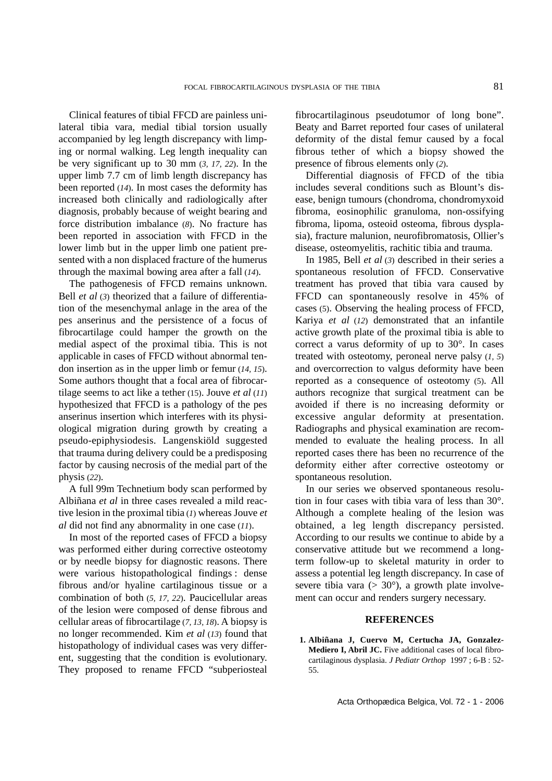Clinical features of tibial FFCD are painless unilateral tibia vara, medial tibial torsion usually accompanied by leg length discrepancy with limping or normal walking. Leg length inequality can be very significant up to 30 mm (*3, 17, 22*). In the upper limb 7.7 cm of limb length discrepancy has been reported (*14*). In most cases the deformity has increased both clinically and radiologically after diagnosis, probably because of weight bearing and force distribution imbalance (*8*). No fracture has been reported in association with FFCD in the lower limb but in the upper limb one patient presented with a non displaced fracture of the humerus through the maximal bowing area after a fall (*14*).

The pathogenesis of FFCD remains unknown. Bell *et al* (*3*) theorized that a failure of differentiation of the mesenchymal anlage in the area of the pes anserinus and the persistence of a focus of fibrocartilage could hamper the growth on the medial aspect of the proximal tibia. This is not applicable in cases of FFCD without abnormal tendon insertion as in the upper limb or femur (*14, 15*). Some authors thought that a focal area of fibrocartilage seems to act like a tether (15). Jouve *et al* (*11*) hypothesized that FFCD is a pathology of the pes anserinus insertion which interferes with its physiological migration during growth by creating a pseudo-epiphysiodesis. Langenskiöld suggested that trauma during delivery could be a predisposing factor by causing necrosis of the medial part of the physis (*22*).

A full 99m Technetium body scan performed by Albiñana *et al* in three cases revealed a mild reactive lesion in the proximal tibia (*1*) whereas Jouve *et al* did not find any abnormality in one case (*11*).

In most of the reported cases of FFCD a biopsy was performed either during corrective osteotomy or by needle biopsy for diagnostic reasons. There were various histopathological findings : dense fibrous and/or hyaline cartilaginous tissue or a combination of both (*5, 17, 22*). Paucicellular areas of the lesion were composed of dense fibrous and cellular areas of fibrocartilage (*7*, *13, 18*). A biopsy is no longer recommended. Kim *et al* (*13*) found that histopathology of individual cases was very different, suggesting that the condition is evolutionary. They proposed to rename FFCD "subperiosteal fibrocartilaginous pseudotumor of long bone". Beaty and Barret reported four cases of unilateral deformity of the distal femur caused by a focal fibrous tether of which a biopsy showed the presence of fibrous elements only (*2*).

Differential diagnosis of FFCD of the tibia includes several conditions such as Blount's disease, benign tumours (chondroma, chondromyxoid fibroma, eosinophilic granuloma, non-ossifying fibroma, lipoma, osteoid osteoma, fibrous dysplasia), fracture malunion, neurofibromatosis, Ollier's disease, osteomyelitis, rachitic tibia and trauma.

In 1985, Bell *et al* (*3*) described in their series a spontaneous resolution of FFCD. Conservative treatment has proved that tibia vara caused by FFCD can spontaneously resolve in 45% of cases (5). Observing the healing process of FFCD, Kariya *et al* (*12*) demonstrated that an infantile active growth plate of the proximal tibia is able to correct a varus deformity of up to 30°. In cases treated with osteotomy, peroneal nerve palsy (*1, 5*) and overcorrection to valgus deformity have been reported as a consequence of osteotomy (5). All authors recognize that surgical treatment can be avoided if there is no increasing deformity or excessive angular deformity at presentation. Radiographs and physical examination are recommended to evaluate the healing process. In all reported cases there has been no recurrence of the deformity either after corrective osteotomy or spontaneous resolution.

In our series we observed spontaneous resolution in four cases with tibia vara of less than 30°. Although a complete healing of the lesion was obtained, a leg length discrepancy persisted. According to our results we continue to abide by a conservative attitude but we recommend a longterm follow-up to skeletal maturity in order to assess a potential leg length discrepancy. In case of severe tibia vara ( $> 30^{\circ}$ ), a growth plate involvement can occur and renders surgery necessary.

### **REFERENCES**

**1. Albiñana J, Cuervo M, Certucha JA, Gonzalez-Mediero I, Abril JC.** Five additional cases of local fibrocartilaginous dysplasia. *J Pediatr Orthop* 1997 ; 6-B : 52- 55.

Acta Orthopædica Belgica, Vol. 72 - 1 - 2006